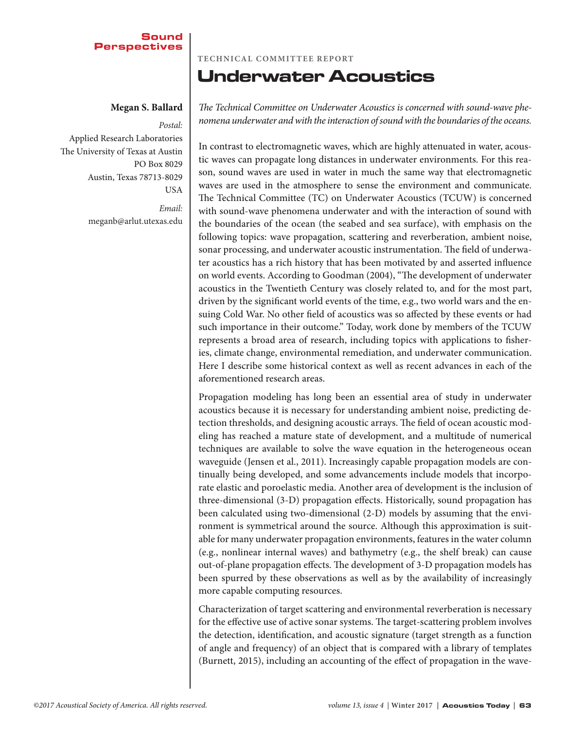### **Sound** Perspectives

### **Megan S. Ballard**

*Postal:*  Applied Research Laboratories The University of Texas at Austin PO Box 8029 Austin, Texas 78713-8029 **USA** 

> *Email:*  meganb@arlut.utexas.edu

### **Techn ical Committee Report**

## Underwater Acoustics

*The Technical Committee on Underwater Acoustics is concerned with sound-wave phenomena underwater and with the interaction of sound with the boundaries of the oceans.*

In contrast to electromagnetic waves, which are highly attenuated in water, acoustic waves can propagate long distances in underwater environments. For this reason, sound waves are used in water in much the same way that electromagnetic waves are used in the atmosphere to sense the environment and communicate. The Technical Committee (TC) on Underwater Acoustics (TCUW) is concerned with sound-wave phenomena underwater and with the interaction of sound with the boundaries of the ocean (the seabed and sea surface), with emphasis on the following topics: wave propagation, scattering and reverberation, ambient noise, sonar processing, and underwater acoustic instrumentation. The field of underwater acoustics has a rich history that has been motivated by and asserted influence on world events. According to Goodman (2004), "The development of underwater acoustics in the Twentieth Century was closely related to, and for the most part, driven by the significant world events of the time, e.g., two world wars and the ensuing Cold War. No other field of acoustics was so affected by these events or had such importance in their outcome." Today, work done by members of the TCUW represents a broad area of research, including topics with applications to fisheries, climate change, environmental remediation, and underwater communication. Here I describe some historical context as well as recent advances in each of the aforementioned research areas.

Propagation modeling has long been an essential area of study in underwater acoustics because it is necessary for understanding ambient noise, predicting detection thresholds, and designing acoustic arrays. The field of ocean acoustic modeling has reached a mature state of development, and a multitude of numerical techniques are available to solve the wave equation in the heterogeneous ocean waveguide (Jensen et al., 2011). Increasingly capable propagation models are continually being developed, and some advancements include models that incorporate elastic and poroelastic media. Another area of development is the inclusion of three-dimensional (3-D) propagation effects. Historically, sound propagation has been calculated using two-dimensional (2-D) models by assuming that the environment is symmetrical around the source. Although this approximation is suitable for many underwater propagation environments, features in the water column (e.g., nonlinear internal waves) and bathymetry (e.g., the shelf break) can cause out-of-plane propagation effects. The development of 3-D propagation models has been spurred by these observations as well as by the availability of increasingly more capable computing resources.

Characterization of target scattering and environmental reverberation is necessary for the effective use of active sonar systems. The target-scattering problem involves the detection, identification, and acoustic signature (target strength as a function of angle and frequency) of an object that is compared with a library of templates (Burnett, 2015), including an accounting of the effect of propagation in the wave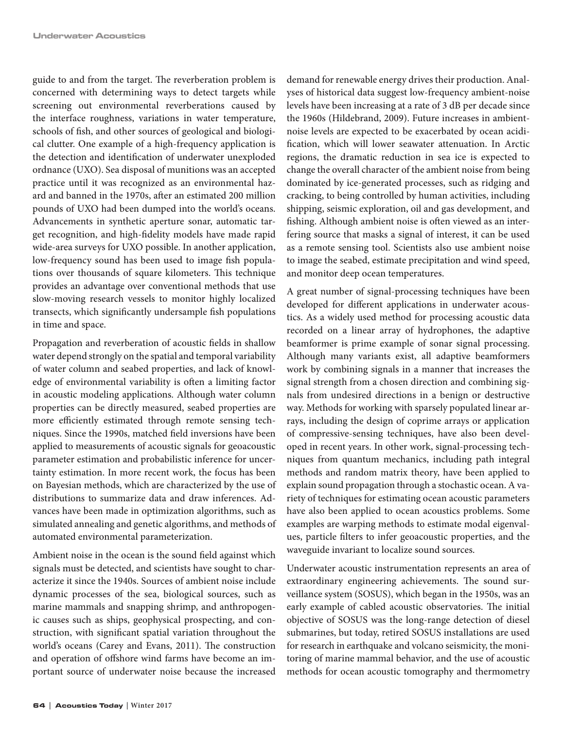guide to and from the target. The reverberation problem is concerned with determining ways to detect targets while screening out environmental reverberations caused by the interface roughness, variations in water temperature, schools of fish, and other sources of geological and biological clutter. One example of a high-frequency application is the detection and identification of underwater unexploded ordnance (UXO). Sea disposal of munitions was an accepted practice until it was recognized as an environmental hazard and banned in the 1970s, after an estimated 200 million pounds of UXO had been dumped into the world's oceans. Advancements in synthetic aperture sonar, automatic target recognition, and high-fidelity models have made rapid wide-area surveys for UXO possible. In another application, low-frequency sound has been used to image fish populations over thousands of square kilometers. This technique provides an advantage over conventional methods that use slow-moving research vessels to monitor highly localized transects, which significantly undersample fish populations in time and space.

Propagation and reverberation of acoustic fields in shallow water depend strongly on the spatial and temporal variability of water column and seabed properties, and lack of knowledge of environmental variability is often a limiting factor in acoustic modeling applications. Although water column properties can be directly measured, seabed properties are more efficiently estimated through remote sensing techniques. Since the 1990s, matched field inversions have been applied to measurements of acoustic signals for geoacoustic parameter estimation and probabilistic inference for uncertainty estimation. In more recent work, the focus has been on Bayesian methods, which are characterized by the use of distributions to summarize data and draw inferences. Advances have been made in optimization algorithms, such as simulated annealing and genetic algorithms, and methods of automated environmental parameterization.

Ambient noise in the ocean is the sound field against which signals must be detected, and scientists have sought to characterize it since the 1940s. Sources of ambient noise include dynamic processes of the sea, biological sources, such as marine mammals and snapping shrimp, and anthropogenic causes such as ships, geophysical prospecting, and construction, with significant spatial variation throughout the world's oceans (Carey and Evans, 2011). The construction and operation of offshore wind farms have become an important source of underwater noise because the increased

demand for renewable energy drives their production. Analyses of historical data suggest low-frequency ambient-noise levels have been increasing at a rate of 3 dB per decade since the 1960s (Hildebrand, 2009). Future increases in ambientnoise levels are expected to be exacerbated by ocean acidification, which will lower seawater attenuation. In Arctic regions, the dramatic reduction in sea ice is expected to change the overall character of the ambient noise from being dominated by ice-generated processes, such as ridging and cracking, to being controlled by human activities, including shipping, seismic exploration, oil and gas development, and fishing. Although ambient noise is often viewed as an interfering source that masks a signal of interest, it can be used as a remote sensing tool. Scientists also use ambient noise to image the seabed, estimate precipitation and wind speed, and monitor deep ocean temperatures.

A great number of signal-processing techniques have been developed for different applications in underwater acoustics. As a widely used method for processing acoustic data recorded on a linear array of hydrophones, the adaptive beamformer is prime example of sonar signal processing. Although many variants exist, all adaptive beamformers work by combining signals in a manner that increases the signal strength from a chosen direction and combining signals from undesired directions in a benign or destructive way. Methods for working with sparsely populated linear arrays, including the design of coprime arrays or application of compressive-sensing techniques, have also been developed in recent years. In other work, signal-processing techniques from quantum mechanics, including path integral methods and random matrix theory, have been applied to explain sound propagation through a stochastic ocean. A variety of techniques for estimating ocean acoustic parameters have also been applied to ocean acoustics problems. Some examples are warping methods to estimate modal eigenvalues, particle filters to infer geoacoustic properties, and the waveguide invariant to localize sound sources.

Underwater acoustic instrumentation represents an area of extraordinary engineering achievements. The sound surveillance system (SOSUS), which began in the 1950s, was an early example of cabled acoustic observatories. The initial objective of SOSUS was the long-range detection of diesel submarines, but today, retired SOSUS installations are used for research in earthquake and volcano seismicity, the monitoring of marine mammal behavior, and the use of acoustic methods for ocean acoustic tomography and thermometry